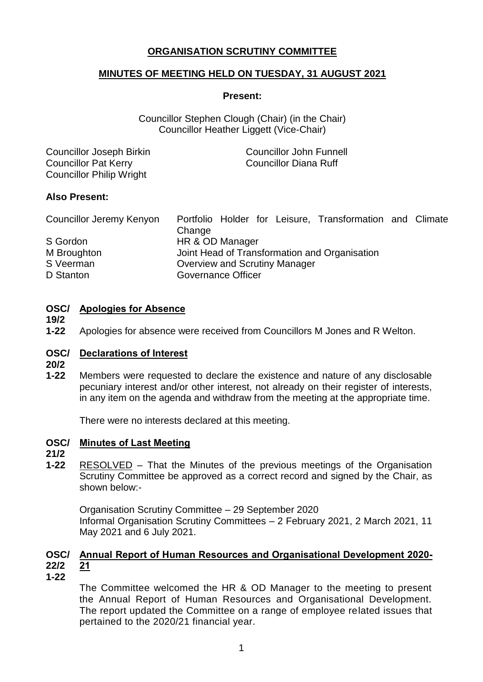# **ORGANISATION SCRUTINY COMMITTEE**

# **MINUTES OF MEETING HELD ON TUESDAY, 31 AUGUST 2021**

#### **Present:**

Councillor Stephen Clough (Chair) (in the Chair) Councillor Heather Liggett (Vice-Chair)

| Councillor Joseph Birkin        | <b>Councillor John Funnell</b> |
|---------------------------------|--------------------------------|
| <b>Councillor Pat Kerry</b>     | Councillor Diana Ruff          |
| <b>Councillor Philip Wright</b> |                                |

## **Also Present:**

| Councillor Jeremy Kenyon | Portfolio Holder for Leisure, Transformation and Climate |  |
|--------------------------|----------------------------------------------------------|--|
|                          | Change                                                   |  |
| S Gordon                 | HR & OD Manager                                          |  |
| M Broughton              | Joint Head of Transformation and Organisation            |  |
| S Veerman                | Overview and Scrutiny Manager                            |  |
| D Stanton                | Governance Officer                                       |  |

## **OSC/ Apologies for Absence**

**19/2**

**1-22** Apologies for absence were received from Councillors M Jones and R Welton.

## **OSC/ Declarations of Interest**

- **20/2**
- **1-22** Members were requested to declare the existence and nature of any disclosable pecuniary interest and/or other interest, not already on their register of interests, in any item on the agenda and withdraw from the meeting at the appropriate time.

There were no interests declared at this meeting.

## **OSC/ Minutes of Last Meeting**

## **21/2**

**1-22** RESOLVED – That the Minutes of the previous meetings of the Organisation Scrutiny Committee be approved as a correct record and signed by the Chair, as shown below:-

Organisation Scrutiny Committee – 29 September 2020 Informal Organisation Scrutiny Committees – 2 February 2021, 2 March 2021, 11 May 2021 and 6 July 2021.

#### **OSC/ Annual Report of Human Resources and Organisational Development 2020- 22/2 21**

**1-22**

The Committee welcomed the HR & OD Manager to the meeting to present the Annual Report of Human Resources and Organisational Development. The report updated the Committee on a range of employee related issues that pertained to the 2020/21 financial year.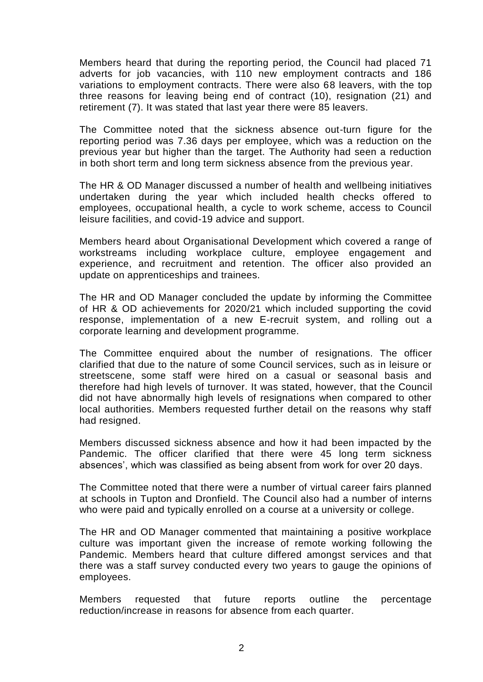Members heard that during the reporting period, the Council had placed 71 adverts for job vacancies, with 110 new employment contracts and 186 variations to employment contracts. There were also 68 leavers, with the top three reasons for leaving being end of contract (10), resignation (21) and retirement (7). It was stated that last year there were 85 leavers.

The Committee noted that the sickness absence out-turn figure for the reporting period was 7.36 days per employee, which was a reduction on the previous year but higher than the target. The Authority had seen a reduction in both short term and long term sickness absence from the previous year.

The HR & OD Manager discussed a number of health and wellbeing initiatives undertaken during the year which included health checks offered to employees, occupational health, a cycle to work scheme, access to Council leisure facilities, and covid-19 advice and support.

Members heard about Organisational Development which covered a range of workstreams including workplace culture, employee engagement and experience, and recruitment and retention. The officer also provided an update on apprenticeships and trainees.

The HR and OD Manager concluded the update by informing the Committee of HR & OD achievements for 2020/21 which included supporting the covid response, implementation of a new E-recruit system, and rolling out a corporate learning and development programme.

The Committee enquired about the number of resignations. The officer clarified that due to the nature of some Council services, such as in leisure or streetscene, some staff were hired on a casual or seasonal basis and therefore had high levels of turnover. It was stated, however, that the Council did not have abnormally high levels of resignations when compared to other local authorities. Members requested further detail on the reasons why staff had resigned.

Members discussed sickness absence and how it had been impacted by the Pandemic. The officer clarified that there were 45 long term sickness absences', which was classified as being absent from work for over 20 days.

The Committee noted that there were a number of virtual career fairs planned at schools in Tupton and Dronfield. The Council also had a number of interns who were paid and typically enrolled on a course at a university or college.

The HR and OD Manager commented that maintaining a positive workplace culture was important given the increase of remote working following the Pandemic. Members heard that culture differed amongst services and that there was a staff survey conducted every two years to gauge the opinions of employees.

Members requested that future reports outline the percentage reduction/increase in reasons for absence from each quarter.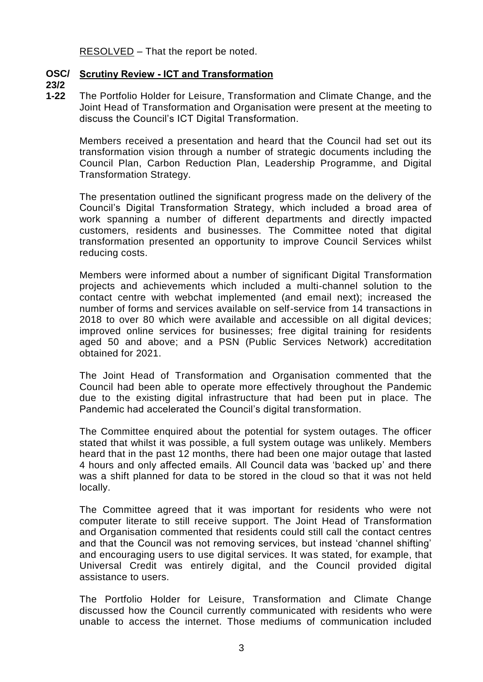RESOLVED – That the report be noted.

# **OSC/ Scrutiny Review - ICT and Transformation**

**23/2**

**1-22** The Portfolio Holder for Leisure, Transformation and Climate Change, and the Joint Head of Transformation and Organisation were present at the meeting to discuss the Council's ICT Digital Transformation.

Members received a presentation and heard that the Council had set out its transformation vision through a number of strategic documents including the Council Plan, Carbon Reduction Plan, Leadership Programme, and Digital Transformation Strategy.

The presentation outlined the significant progress made on the delivery of the Council's Digital Transformation Strategy, which included a broad area of work spanning a number of different departments and directly impacted customers, residents and businesses. The Committee noted that digital transformation presented an opportunity to improve Council Services whilst reducing costs.

Members were informed about a number of significant Digital Transformation projects and achievements which included a multi-channel solution to the contact centre with webchat implemented (and email next); increased the number of forms and services available on self-service from 14 transactions in 2018 to over 80 which were available and accessible on all digital devices; improved online services for businesses; free digital training for residents aged 50 and above; and a PSN (Public Services Network) accreditation obtained for 2021.

The Joint Head of Transformation and Organisation commented that the Council had been able to operate more effectively throughout the Pandemic due to the existing digital infrastructure that had been put in place. The Pandemic had accelerated the Council's digital transformation.

The Committee enquired about the potential for system outages. The officer stated that whilst it was possible, a full system outage was unlikely. Members heard that in the past 12 months, there had been one major outage that lasted 4 hours and only affected emails. All Council data was 'backed up' and there was a shift planned for data to be stored in the cloud so that it was not held locally.

The Committee agreed that it was important for residents who were not computer literate to still receive support. The Joint Head of Transformation and Organisation commented that residents could still call the contact centres and that the Council was not removing services, but instead 'channel shifting' and encouraging users to use digital services. It was stated, for example, that Universal Credit was entirely digital, and the Council provided digital assistance to users.

The Portfolio Holder for Leisure, Transformation and Climate Change discussed how the Council currently communicated with residents who were unable to access the internet. Those mediums of communication included